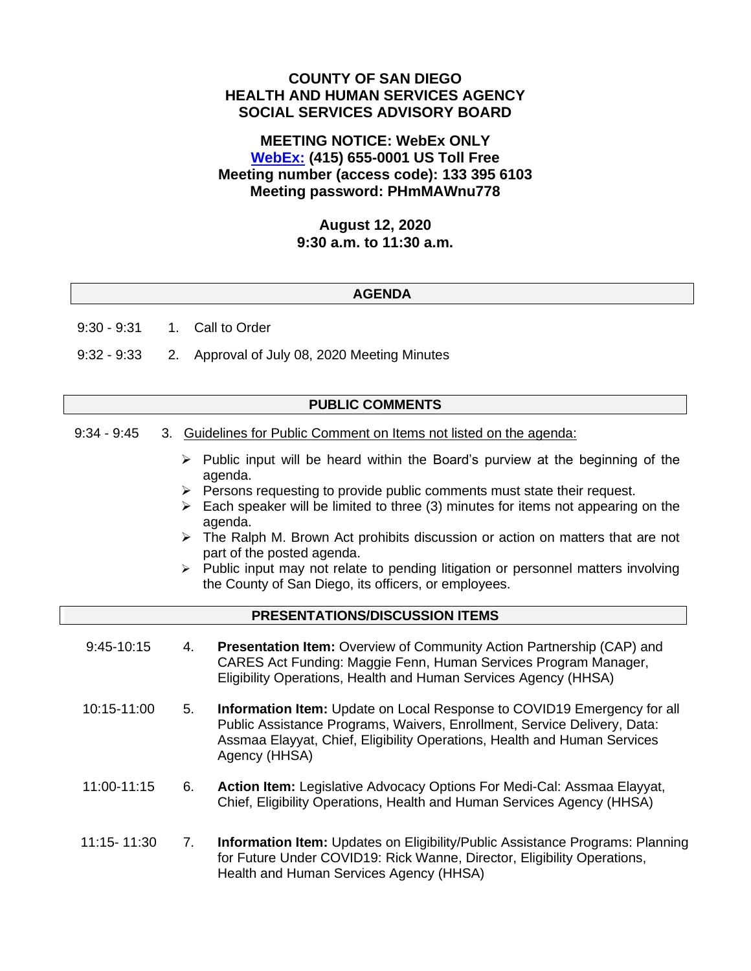# **COUNTY OF SAN DIEGO HEALTH AND HUMAN SERVICES AGENCY SOCIAL SERVICES ADVISORY BOARD**

# **MEETING NOTICE: WebEx ONLY [WebEx:](https://sdcountyca.webex.com/sdcountyca/j.php?MTID=m732d2a324b828541c15cb065b45a9a95) (415) 655-0001 US Toll Free Meeting number (access code): 133 395 6103 Meeting password: PHmMAWnu778**

### **August 12, 2020 9:30 a.m. to 11:30 a.m.**

#### **AGENDA**

9:30 - 9:31 1. Call to Order

9:32 - 9:33 2. Approval of July 08, 2020 Meeting Minutes

### **PUBLIC COMMENTS**

- 9:34 9:45 3. Guidelines for Public Comment on Items not listed on the agenda:
	- $\triangleright$  Public input will be heard within the Board's purview at the beginning of the agenda.
	- ➢ Persons requesting to provide public comments must state their request.
	- $\triangleright$  Each speaker will be limited to three (3) minutes for items not appearing on the agenda.
	- $\triangleright$  The Ralph M. Brown Act prohibits discussion or action on matters that are not part of the posted agenda.
	- ➢ Public input may not relate to pending litigation or personnel matters involving the County of San Diego, its officers, or employees.

# **PRESENTATIONS/DISCUSSION ITEMS**

- 9:45-10:15 4. **Presentation Item:** Overview of Community Action Partnership (CAP) and CARES Act Funding: Maggie Fenn, Human Services Program Manager, Eligibility Operations, Health and Human Services Agency (HHSA)
- 10:15-11:00 5. **Information Item:** Update on Local Response to COVID19 Emergency for all Public Assistance Programs, Waivers, Enrollment, Service Delivery, Data: Assmaa Elayyat, Chief, Eligibility Operations, Health and Human Services Agency (HHSA)
- 11:00-11:15 6. **Action Item:** Legislative Advocacy Options For Medi-Cal: Assmaa Elayyat, Chief, Eligibility Operations, Health and Human Services Agency (HHSA)
- 11:15- 11:30 7. **Information Item:** Updates on Eligibility/Public Assistance Programs: Planning for Future Under COVID19: Rick Wanne, Director, Eligibility Operations, Health and Human Services Agency (HHSA)